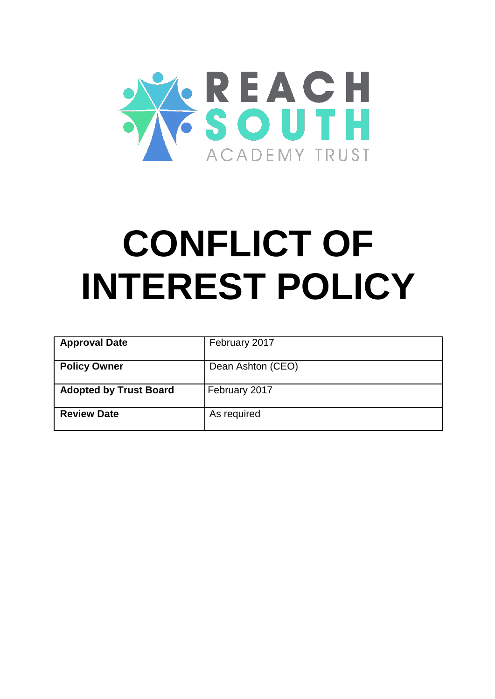

# **CONFLICT OF INTEREST POLICY**

| <b>Approval Date</b>          | February 2017     |
|-------------------------------|-------------------|
| <b>Policy Owner</b>           | Dean Ashton (CEO) |
| <b>Adopted by Trust Board</b> | February 2017     |
| <b>Review Date</b>            | As required       |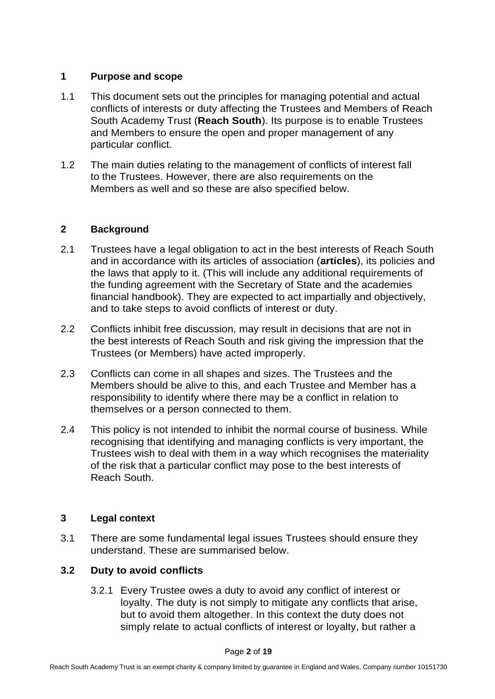## **1 Purpose and scope**

- 1.1 This document sets out the principles for managing potential and actual conflicts of interests or duty affecting the Trustees and Members of Reach South Academy Trust (**Reach South**). Its purpose is to enable Trustees and Members to ensure the open and proper management of any particular conflict.
- 1.2 The main duties relating to the management of conflicts of interest fall to the Trustees. However, there are also requirements on the Members as well and so these are also specified below.

## **2 Background**

- 2.1 Trustees have a legal obligation to act in the best interests of Reach South and in accordance with its articles of association (**articles**), its policies and the laws that apply to it. (This will include any additional requirements of the funding agreement with the Secretary of State and the academies financial handbook). They are expected to act impartially and objectively, and to take steps to avoid conflicts of interest or duty.
- 2.2 Conflicts inhibit free discussion, may result in decisions that are not in the best interests of Reach South and risk giving the impression that the Trustees (or Members) have acted improperly.
- 2.3 Conflicts can come in all shapes and sizes. The Trustees and the Members should be alive to this, and each Trustee and Member has a responsibility to identify where there may be a conflict in relation to themselves or a person connected to them.
- 2.4 This policy is not intended to inhibit the normal course of business. While recognising that identifying and managing conflicts is very important, the Trustees wish to deal with them in a way which recognises the materiality of the risk that a particular conflict may pose to the best interests of Reach South.

# **3 Legal context**

3.1 There are some fundamental legal issues Trustees should ensure they understand. These are summarised below.

# **3.2 Duty to avoid conflicts**

3.2.1 Every Trustee owes a duty to avoid any conflict of interest or loyalty. The duty is not simply to mitigate any conflicts that arise, but to avoid them altogether. In this context the duty does not simply relate to actual conflicts of interest or loyalty, but rather a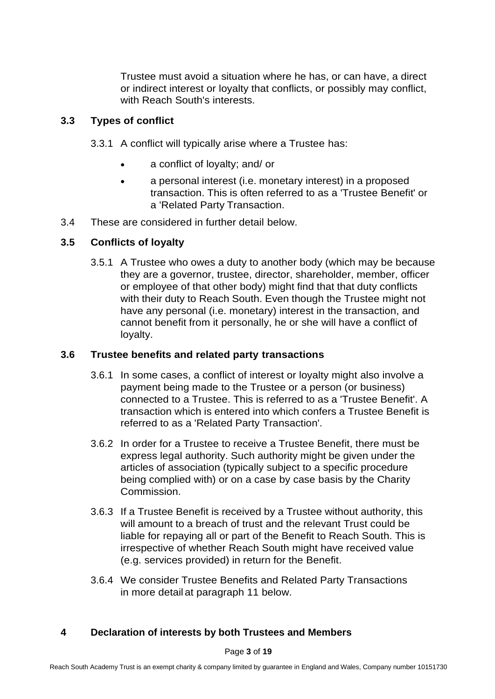Trustee must avoid a situation where he has, or can have, a direct or indirect interest or loyalty that conflicts, or possibly may conflict, with Reach South's interests.

# **3.3 Types of conflict**

- 3.3.1 A conflict will typically arise where a Trustee has:
	- a conflict of loyalty; and/ or
	- a personal interest (i.e. monetary interest) in a proposed transaction. This is often referred to as a 'Trustee Benefit' or a 'Related Party Transaction.
- 3.4 These are considered in further detail below.

# **3.5 Conflicts of loyalty**

3.5.1 A Trustee who owes a duty to another body (which may be because they are a governor, trustee, director, shareholder, member, officer or employee of that other body) might find that that duty conflicts with their duty to Reach South. Even though the Trustee might not have any personal (i.e. monetary) interest in the transaction, and cannot benefit from it personally, he or she will have a conflict of loyalty.

# **3.6 Trustee benefits and related party transactions**

- 3.6.1 In some cases, a conflict of interest or loyalty might also involve a payment being made to the Trustee or a person (or business) connected to a Trustee. This is referred to as a 'Trustee Benefit'. A transaction which is entered into which confers a Trustee Benefit is referred to as a 'Related Party Transaction'.
- 3.6.2 In order for a Trustee to receive a Trustee Benefit, there must be express legal authority. Such authority might be given under the articles of association (typically subject to a specific procedure being complied with) or on a case by case basis by the Charity Commission.
- 3.6.3 If a Trustee Benefit is received by a Trustee without authority, this will amount to a breach of trust and the relevant Trust could be liable for repaying all or part of the Benefit to Reach South. This is irrespective of whether Reach South might have received value (e.g. services provided) in return for the Benefit.
- 3.6.4 We consider Trustee Benefits and Related Party Transactions in more detail at paragraph 11 below.

# **4 Declaration of interests by both Trustees and Members**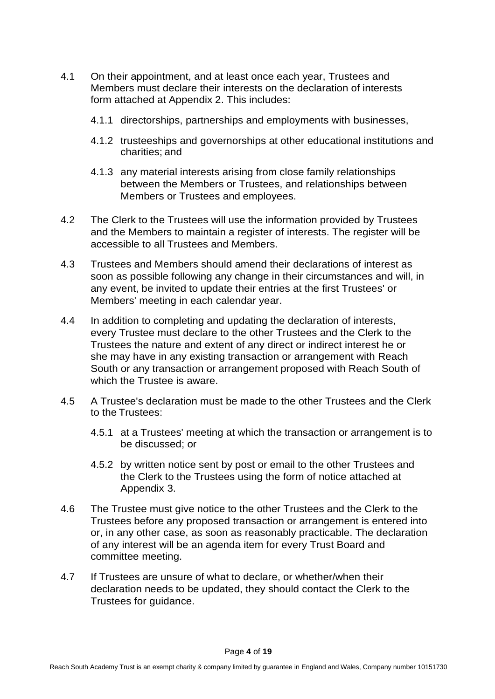- 4.1 On their appointment, and at least once each year, Trustees and Members must declare their interests on the declaration of interests form attached at Appendix 2. This includes:
	- 4.1.1 directorships, partnerships and employments with businesses,
	- 4.1.2 trusteeships and governorships at other educational institutions and charities; and
	- 4.1.3 any material interests arising from close family relationships between the Members or Trustees, and relationships between Members or Trustees and employees.
- 4.2 The Clerk to the Trustees will use the information provided by Trustees and the Members to maintain a register of interests. The register will be accessible to all Trustees and Members.
- 4.3 Trustees and Members should amend their declarations of interest as soon as possible following any change in their circumstances and will, in any event, be invited to update their entries at the first Trustees' or Members' meeting in each calendar year.
- 4.4 In addition to completing and updating the declaration of interests, every Trustee must declare to the other Trustees and the Clerk to the Trustees the nature and extent of any direct or indirect interest he or she may have in any existing transaction or arrangement with Reach South or any transaction or arrangement proposed with Reach South of which the Trustee is aware.
- 4.5 A Trustee's declaration must be made to the other Trustees and the Clerk to the Trustees:
	- 4.5.1 at a Trustees' meeting at which the transaction or arrangement is to be discussed; or
	- 4.5.2 by written notice sent by post or email to the other Trustees and the Clerk to the Trustees using the form of notice attached at Appendix 3.
- 4.6 The Trustee must give notice to the other Trustees and the Clerk to the Trustees before any proposed transaction or arrangement is entered into or, in any other case, as soon as reasonably practicable. The declaration of any interest will be an agenda item for every Trust Board and committee meeting.
- 4.7 If Trustees are unsure of what to declare, or whether/when their declaration needs to be updated, they should contact the Clerk to the Trustees for guidance.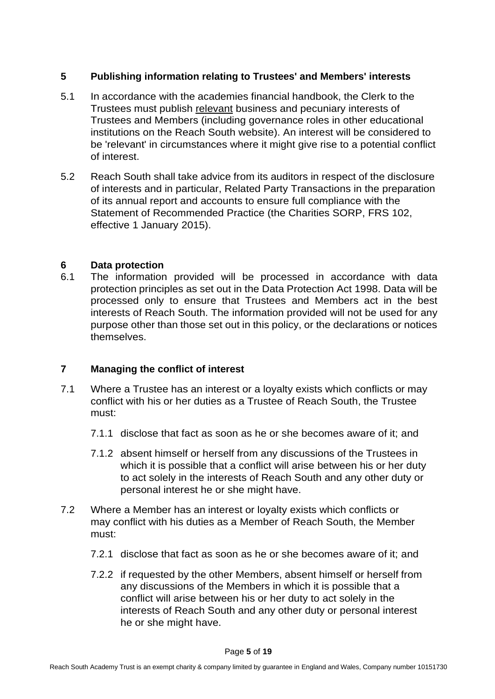# **5 Publishing information relating to Trustees' and Members' interests**

- 5.1 In accordance with the academies financial handbook, the Clerk to the Trustees must publish relevant business and pecuniary interests of Trustees and Members (including governance roles in other educational institutions on the Reach South website). An interest will be considered to be 'relevant' in circumstances where it might give rise to a potential conflict of interest.
- 5.2 Reach South shall take advice from its auditors in respect of the disclosure of interests and in particular, Related Party Transactions in the preparation of its annual report and accounts to ensure full compliance with the Statement of Recommended Practice (the Charities SORP, FRS 102, effective 1 January 2015).

## **6 Data protection**

6.1 The information provided will be processed in accordance with data protection principles as set out in the Data Protection Act 1998. Data will be processed only to ensure that Trustees and Members act in the best interests of Reach South. The information provided will not be used for any purpose other than those set out in this policy, or the declarations or notices themselves.

# **7 Managing the conflict of interest**

- 7.1 Where a Trustee has an interest or a loyalty exists which conflicts or may conflict with his or her duties as a Trustee of Reach South, the Trustee must:
	- 7.1.1 disclose that fact as soon as he or she becomes aware of it; and
	- 7.1.2 absent himself or herself from any discussions of the Trustees in which it is possible that a conflict will arise between his or her duty to act solely in the interests of Reach South and any other duty or personal interest he or she might have.
- 7.2 Where a Member has an interest or loyalty exists which conflicts or may conflict with his duties as a Member of Reach South, the Member must:
	- 7.2.1 disclose that fact as soon as he or she becomes aware of it; and
	- 7.2.2 if requested by the other Members, absent himself or herself from any discussions of the Members in which it is possible that a conflict will arise between his or her duty to act solely in the interests of Reach South and any other duty or personal interest he or she might have.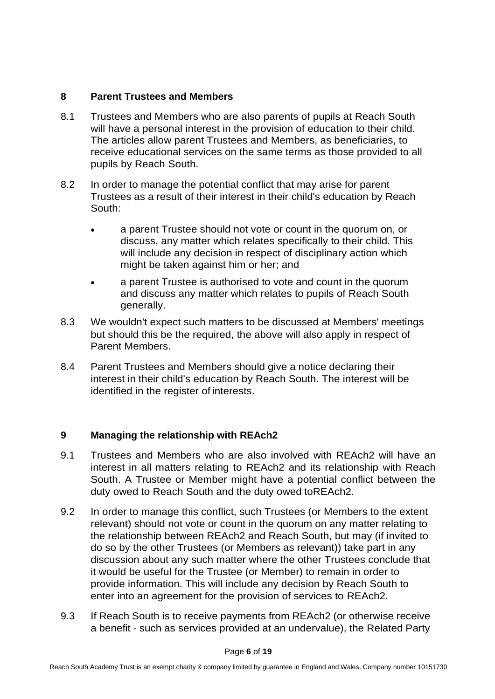## **8 Parent Trustees and Members**

- 8.1 Trustees and Members who are also parents of pupils at Reach South will have a personal interest in the provision of education to their child. The articles allow parent Trustees and Members, as beneficiaries, to receive educational services on the same terms as those provided to all pupils by Reach South.
- 8.2 In order to manage the potential conflict that may arise for parent Trustees as a result of their interest in their child's education by Reach South:
	- a parent Trustee should not vote or count in the quorum on, or discuss, any matter which relates specifically to their child. This will include any decision in respect of disciplinary action which might be taken against him or her; and
	- a parent Trustee is authorised to vote and count in the quorum and discuss any matter which relates to pupils of Reach South generally.
- 8.3 We wouldn't expect such matters to be discussed at Members' meetings but should this be the required, the above will also apply in respect of Parent Members.
- 8.4 Parent Trustees and Members should give a notice declaring their interest in their child's education by Reach South. The interest will be identified in the register of interests.

# **9 Managing the relationship with REAch2**

- 9.1 Trustees and Members who are also involved with REAch2 will have an interest in all matters relating to REAch2 and its relationship with Reach South. A Trustee or Member might have a potential conflict between the duty owed to Reach South and the duty owed toREAch2.
- 9.2 In order to manage this conflict, such Trustees (or Members to the extent relevant) should not vote or count in the quorum on any matter relating to the relationship between REAch2 and Reach South, but may (if invited to do so by the other Trustees (or Members as relevant)) take part in any discussion about any such matter where the other Trustees conclude that it would be useful for the Trustee (or Member) to remain in order to provide information. This will include any decision by Reach South to enter into an agreement for the provision of services to REAch2.
- 9.3 If Reach South is to receive payments from REAch2 (or otherwise receive a benefit - such as services provided at an undervalue), the Related Party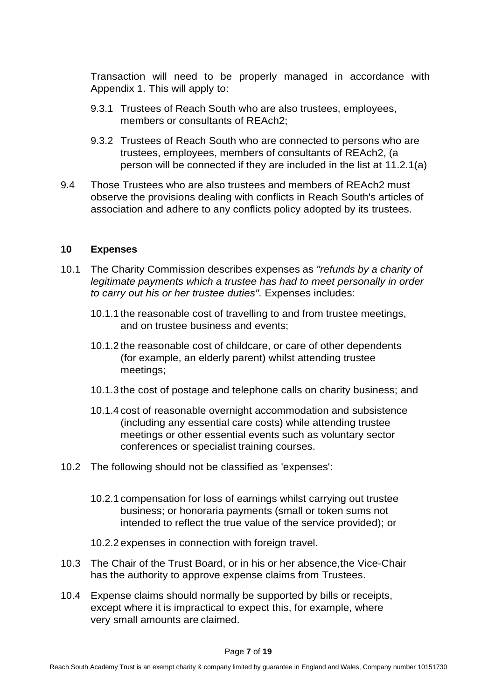Transaction will need to be properly managed in accordance with Appendix 1. This will apply to:

- 9.3.1 Trustees of Reach South who are also trustees, employees, members or consultants of REAch2;
- 9.3.2 Trustees of Reach South who are connected to persons who are trustees, employees, members of consultants of REAch2, (a person will be connected if they are included in the list at 11.2.1(a)
- 9.4 Those Trustees who are also trustees and members of REAch2 must observe the provisions dealing with conflicts in Reach South's articles of association and adhere to any conflicts policy adopted by its trustees.

#### **10 Expenses**

- 10.1 The Charity Commission describes expenses as *"refunds by a charity of legitimate payments which a trustee has had to meet personally in order to carry out his or her trustee duties".* Expenses includes:
	- 10.1.1 the reasonable cost of travelling to and from trustee meetings, and on trustee business and events;
	- 10.1.2 the reasonable cost of childcare, or care of other dependents (for example, an elderly parent) whilst attending trustee meetings;
	- 10.1.3 the cost of postage and telephone calls on charity business; and
	- 10.1.4 cost of reasonable overnight accommodation and subsistence (including any essential care costs) while attending trustee meetings or other essential events such as voluntary sector conferences or specialist training courses.
- 10.2 The following should not be classified as 'expenses':
	- 10.2.1 compensation for loss of earnings whilst carrying out trustee business; or honoraria payments (small or token sums not intended to reflect the true value of the service provided); or
	- 10.2.2 expenses in connection with foreign travel.
- 10.3 The Chair of the Trust Board, or in his or her absence,the Vice-Chair has the authority to approve expense claims from Trustees.
- 10.4 Expense claims should normally be supported by bills or receipts, except where it is impractical to expect this, for example, where very small amounts are claimed.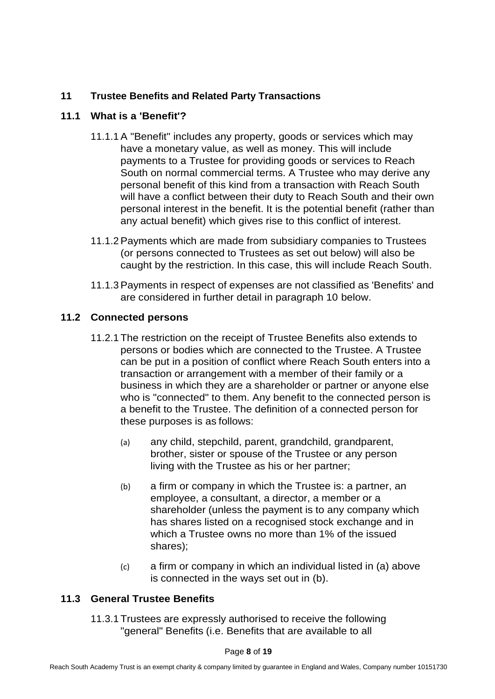# **11 Trustee Benefits and Related Party Transactions**

## **11.1 What is a 'Benefit'?**

- 11.1.1 A "Benefit" includes any property, goods or services which may have a monetary value, as well as money. This will include payments to a Trustee for providing goods or services to Reach South on normal commercial terms. A Trustee who may derive any personal benefit of this kind from a transaction with Reach South will have a conflict between their duty to Reach South and their own personal interest in the benefit. It is the potential benefit (rather than any actual benefit) which gives rise to this conflict of interest.
- 11.1.2 Payments which are made from subsidiary companies to Trustees (or persons connected to Trustees as set out below) will also be caught by the restriction. In this case, this will include Reach South.
- 11.1.3 Payments in respect of expenses are not classified as 'Benefits' and are considered in further detail in paragraph 10 below.

## **11.2 Connected persons**

- 11.2.1 The restriction on the receipt of Trustee Benefits also extends to persons or bodies which are connected to the Trustee. A Trustee can be put in a position of conflict where Reach South enters into a transaction or arrangement with a member of their family or a business in which they are a shareholder or partner or anyone else who is "connected" to them. Any benefit to the connected person is a benefit to the Trustee. The definition of a connected person for these purposes is as follows:
	- (a) any child, stepchild, parent, grandchild, grandparent, brother, sister or spouse of the Trustee or any person living with the Trustee as his or her partner;
	- (b) a firm or company in which the Trustee is: a partner, an employee, a consultant, a director, a member or a shareholder (unless the payment is to any company which has shares listed on a recognised stock exchange and in which a Trustee owns no more than 1% of the issued shares);
	- (c) a firm or company in which an individual listed in (a) above is connected in the ways set out in (b).

# **11.3 General Trustee Benefits**

11.3.1 Trustees are expressly authorised to receive the following "general" Benefits (i.e. Benefits that are available to all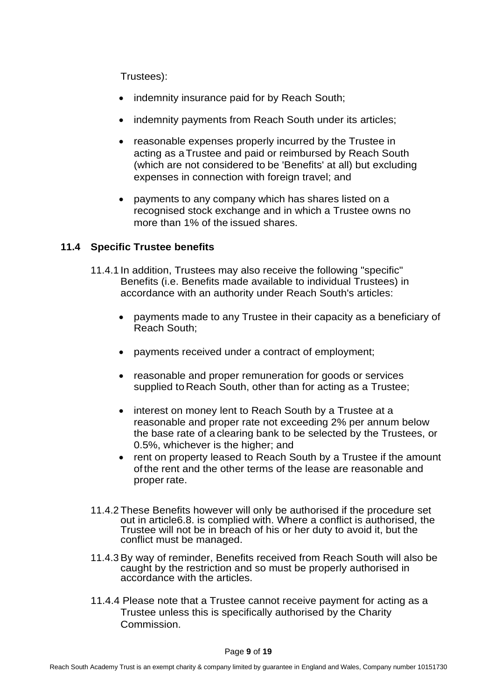Trustees):

- indemnity insurance paid for by Reach South;
- indemnity payments from Reach South under its articles;
- reasonable expenses properly incurred by the Trustee in acting as aTrustee and paid or reimbursed by Reach South (which are not considered to be 'Benefits' at all) but excluding expenses in connection with foreign travel; and
- payments to any company which has shares listed on a recognised stock exchange and in which a Trustee owns no more than 1% of the issued shares.

## **11.4 Specific Trustee benefits**

- 11.4.1 In addition, Trustees may also receive the following "specific" Benefits (i.e. Benefits made available to individual Trustees) in accordance with an authority under Reach South's articles:
	- payments made to any Trustee in their capacity as a beneficiary of Reach South;
	- payments received under a contract of employment;
	- reasonable and proper remuneration for goods or services supplied to Reach South, other than for acting as a Trustee;
	- interest on money lent to Reach South by a Trustee at a reasonable and proper rate not exceeding 2% per annum below the base rate of a clearing bank to be selected by the Trustees, or 0.5%, whichever is the higher; and
	- rent on property leased to Reach South by a Trustee if the amount of the rent and the other terms of the lease are reasonable and proper rate.
- 11.4.2 These Benefits however will only be authorised if the procedure set out in article6.8. is complied with. Where a conflict is authorised, the Trustee will not be in breach of his or her duty to avoid it, but the conflict must be managed.
- 11.4.3 By way of reminder, Benefits received from Reach South will also be caught by the restriction and so must be properly authorised in accordance with the articles.
- 11.4.4 Please note that a Trustee cannot receive payment for acting as a Trustee unless this is specifically authorised by the Charity Commission.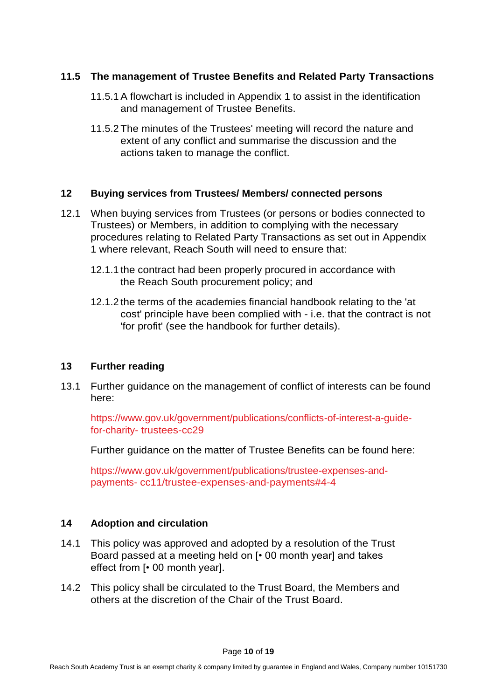## **11.5 The management of Trustee Benefits and Related Party Transactions**

- 11.5.1 A flowchart is included in Appendix 1 to assist in the identification and management of Trustee Benefits.
- 11.5.2 The minutes of the Trustees' meeting will record the nature and extent of any conflict and summarise the discussion and the actions taken to manage the conflict.

#### **12 Buying services from Trustees/ Members/ connected persons**

- 12.1 When buying services from Trustees (or persons or bodies connected to Trustees) or Members, in addition to complying with the necessary procedures relating to Related Party Transactions as set out in Appendix 1 where relevant, Reach South will need to ensure that:
	- 12.1.1 the contract had been properly procured in accordance with the Reach South procurement policy; and
	- 12.1.2 the terms of the academies financial handbook relating to the 'at cost' principle have been complied with - i.e. that the contract is not 'for profit' (see the handbook for further details).

#### **13 Further reading**

13.1 Further guidance on the management of conflict of interests can be found here:

https:/[/www.gov.uk/government/publications/conflicts-of-interest-a-guide](http://www.gov.uk/government/publications/conflicts-of-interest-a-guide-for-charity-)[for-charity-](http://www.gov.uk/government/publications/conflicts-of-interest-a-guide-for-charity-) trustees-cc29

Further guidance on the matter of Trustee Benefits can be found here:

https:/[/www.gov.uk/government/publications/trustee-expenses-and](http://www.gov.uk/government/publications/trustee-expenses-and-payments-)[payments-](http://www.gov.uk/government/publications/trustee-expenses-and-payments-) cc11/trustee-expenses-and-payments#4-4

#### **14 Adoption and circulation**

- 14.1 This policy was approved and adopted by a resolution of the Trust Board passed at a meeting held on [• 00 month year] and takes effect from [• 00 month year].
- 14.2 This policy shall be circulated to the Trust Board, the Members and others at the discretion of the Chair of the Trust Board.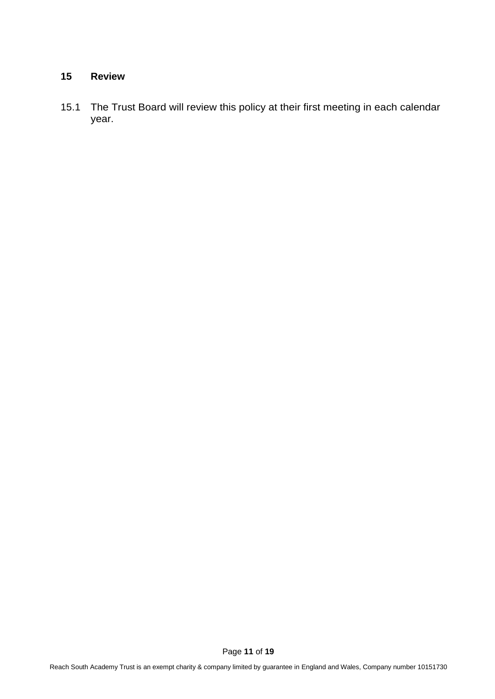#### **15 Review**

15.1 The Trust Board will review this policy at their first meeting in each calendar year.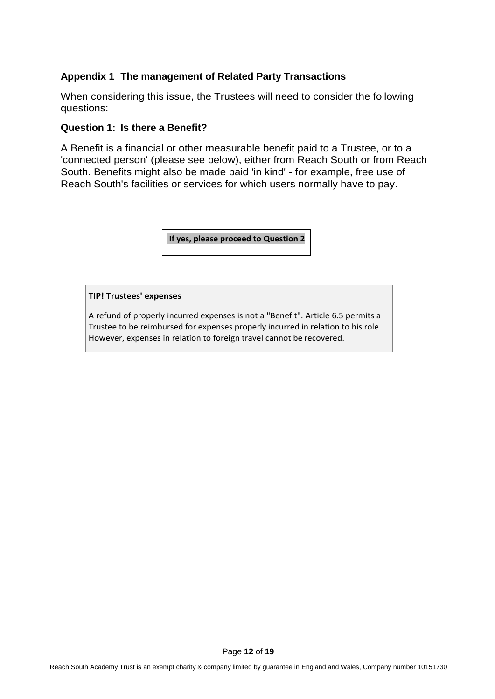## **Appendix 1 The management of Related Party Transactions**

When considering this issue, the Trustees will need to consider the following questions:

#### **Question 1: Is there a Benefit?**

A Benefit is a financial or other measurable benefit paid to a Trustee, or to a 'connected person' (please see below), either from Reach South or from Reach South. Benefits might also be made paid 'in kind' - for example, free use of Reach South's facilities or services for which users normally have to pay.

**If yes, please proceed to Question 2**

#### **TIP! Trustees' expenses**

A refund of properly incurred expenses is not a "Benefit". Article 6.5 permits a Trustee to be reimbursed for expenses properly incurred in relation to his role. However, expenses in relation to foreign travel cannot be recovered.

Page **12** of **19**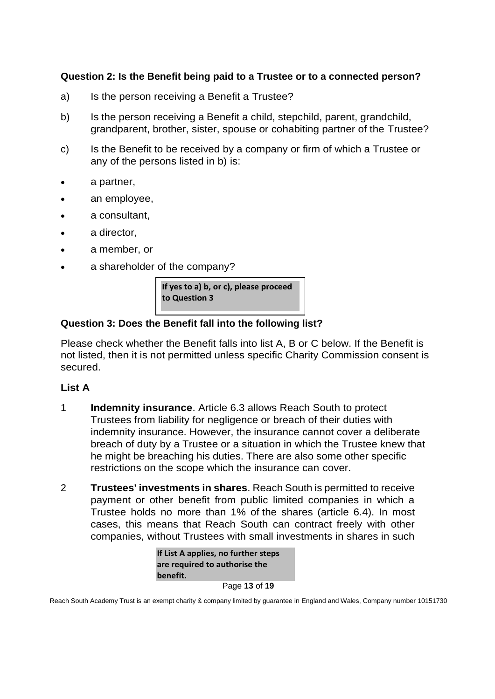# **Question 2: Is the Benefit being paid to a Trustee or to a connected person?**

- a) Is the person receiving a Benefit a Trustee?
- b) Is the person receiving a Benefit a child, stepchild, parent, grandchild, grandparent, brother, sister, spouse or cohabiting partner of the Trustee?
- c) Is the Benefit to be received by a company or firm of which a Trustee or any of the persons listed in b) is:
- a partner,
- an employee,
- a consultant,
- a director,
- a member, or
- a shareholder of the company?

If yes to a) b, or c), please proceed to Question 3

#### **Question 3: Does the Benefit fall into the following list?**

Please check whether the Benefit falls into list A, B or C below. If the Benefit is not listed, then it is not permitted unless specific Charity Commission consent is secured.

#### **List A**

- 1 **Indemnity insurance**. Article 6.3 allows Reach South to protect Trustees from liability for negligence or breach of their duties with indemnity insurance. However, the insurance cannot cover a deliberate breach of duty by a Trustee or a situation in which the Trustee knew that he might be breaching his duties. There are also some other specific restrictions on the scope which the insurance can cover.
- 2 **Trustees' investments in shares**. Reach South is permitted to receive payment or other benefit from public limited companies in which a Trustee holds no more than 1% of the shares (article 6.4). In most cases, this means that Reach South can contract freely with other companies, without Trustees with small investments in shares in such

| If List A applies, no further steps |
|-------------------------------------|
| are required to authorise the       |
| benefit.                            |
|                                     |

Page **13** of **19**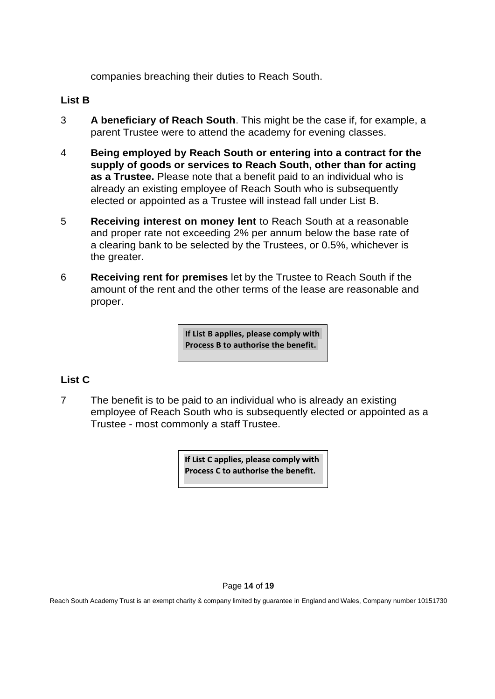companies breaching their duties to Reach South.

## **List B**

- 3 **A beneficiary of Reach South**. This might be the case if, for example, a parent Trustee were to attend the academy for evening classes.
- 4 **Being employed by Reach South or entering into a contract for the supply of goods or services to Reach South, other than for acting as a Trustee.** Please note that a benefit paid to an individual who is already an existing employee of Reach South who is subsequently elected or appointed as a Trustee will instead fall under List B.
- 5 **Receiving interest on money lent** to Reach South at a reasonable and proper rate not exceeding 2% per annum below the base rate of a clearing bank to be selected by the Trustees, or 0.5%, whichever is the greater.
- 6 **Receiving rent for premises** let by the Trustee to Reach South if the amount of the rent and the other terms of the lease are reasonable and proper.

**If List B applies, please comply with Process B to authorise the benefit.**

# **List C**

7 The benefit is to be paid to an individual who is already an existing employee of Reach South who is subsequently elected or appointed as a Trustee - most commonly a staff Trustee.

> If List C applies, please comply with Process C to authorise the benefit.

#### Page **14** of **19**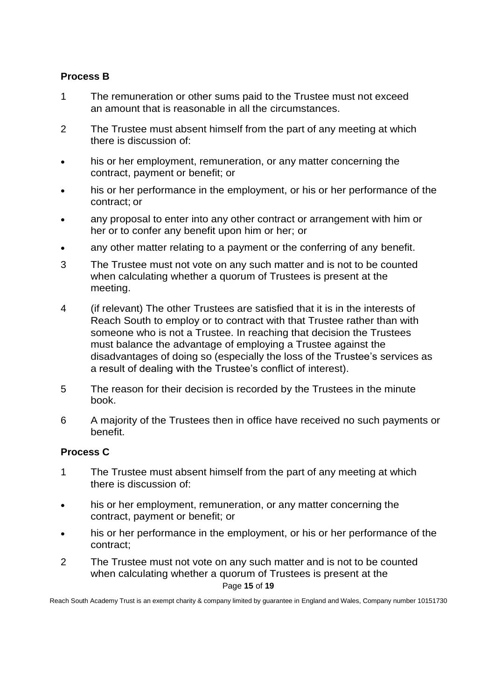# **Process B**

- 1 The remuneration or other sums paid to the Trustee must not exceed an amount that is reasonable in all the circumstances.
- 2 The Trustee must absent himself from the part of any meeting at which there is discussion of:
- his or her employment, remuneration, or any matter concerning the contract, payment or benefit; or
- his or her performance in the employment, or his or her performance of the contract; or
- any proposal to enter into any other contract or arrangement with him or her or to confer any benefit upon him or her; or
- any other matter relating to a payment or the conferring of any benefit.
- 3 The Trustee must not vote on any such matter and is not to be counted when calculating whether a quorum of Trustees is present at the meeting.
- 4 (if relevant) The other Trustees are satisfied that it is in the interests of Reach South to employ or to contract with that Trustee rather than with someone who is not a Trustee. In reaching that decision the Trustees must balance the advantage of employing a Trustee against the disadvantages of doing so (especially the loss of the Trustee's services as a result of dealing with the Trustee's conflict of interest).
- 5 The reason for their decision is recorded by the Trustees in the minute book.
- 6 A majority of the Trustees then in office have received no such payments or benefit.

# **Process C**

- 1 The Trustee must absent himself from the part of any meeting at which there is discussion of:
- his or her employment, remuneration, or any matter concerning the contract, payment or benefit; or
- his or her performance in the employment, or his or her performance of the contract;
- Page **15** of **19** 2 The Trustee must not vote on any such matter and is not to be counted when calculating whether a quorum of Trustees is present at the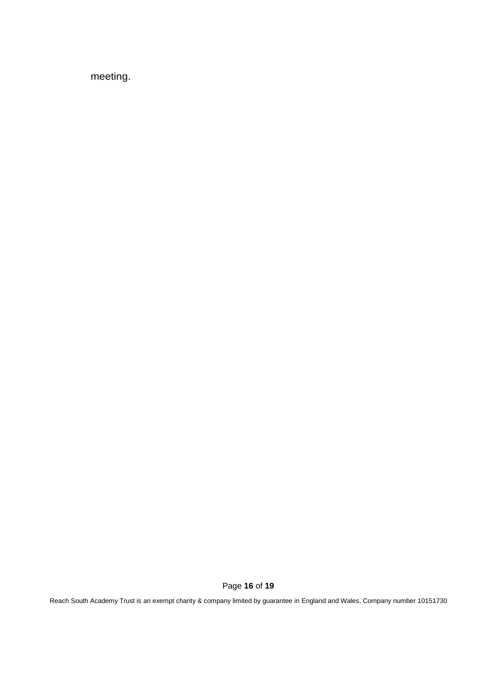meeting.

Page **16** of **19**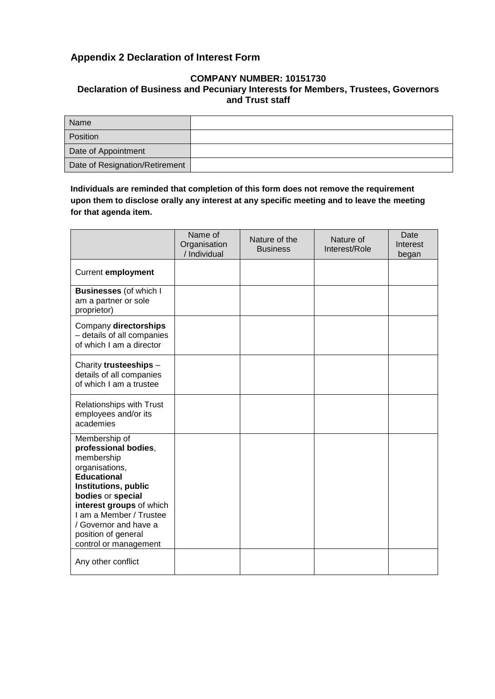## **Appendix 2 Declaration of Interest Form**

#### **COMPANY NUMBER: 10151730 Declaration of Business and Pecuniary Interests for Members, Trustees, Governors and Trust staff**

| Name                           |  |
|--------------------------------|--|
| Position                       |  |
| Date of Appointment            |  |
| Date of Resignation/Retirement |  |

**Individuals are reminded that completion of this form does not remove the requirement upon them to disclose orally any interest at any specific meeting and to leave the meeting for that agenda item.**

|                                                                                                                                                                                                                                                                          | Name of<br>Organisation<br>/ Individual | Nature of the<br><b>Business</b> | Nature of<br>Interest/Role | Date<br>Interest<br>began |
|--------------------------------------------------------------------------------------------------------------------------------------------------------------------------------------------------------------------------------------------------------------------------|-----------------------------------------|----------------------------------|----------------------------|---------------------------|
| <b>Current employment</b>                                                                                                                                                                                                                                                |                                         |                                  |                            |                           |
| <b>Businesses (of which I</b><br>am a partner or sole<br>proprietor)                                                                                                                                                                                                     |                                         |                                  |                            |                           |
| Company directorships<br>- details of all companies<br>of which I am a director                                                                                                                                                                                          |                                         |                                  |                            |                           |
| Charity trusteeships -<br>details of all companies<br>of which I am a trustee                                                                                                                                                                                            |                                         |                                  |                            |                           |
| <b>Relationships with Trust</b><br>employees and/or its<br>academies                                                                                                                                                                                                     |                                         |                                  |                            |                           |
| Membership of<br>professional bodies,<br>membership<br>organisations,<br><b>Educational</b><br>Institutions, public<br>bodies or special<br>interest groups of which<br>I am a Member / Trustee<br>/ Governor and have a<br>position of general<br>control or management |                                         |                                  |                            |                           |
| Any other conflict                                                                                                                                                                                                                                                       |                                         |                                  |                            |                           |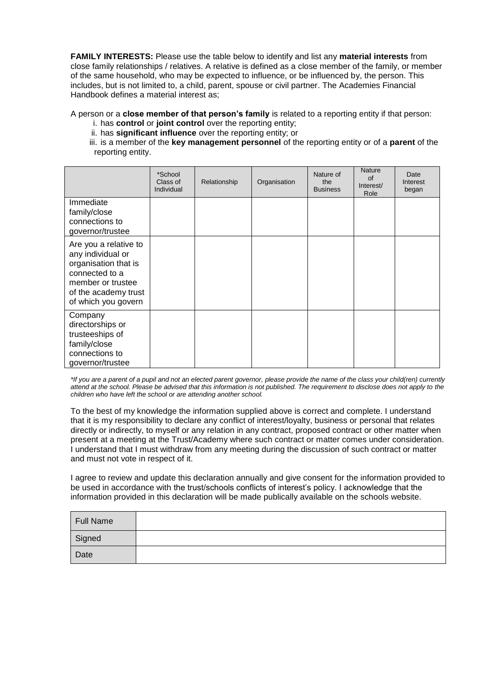**FAMILY INTERESTS:** Please use the table below to identify and list any **material interests** from close family relationships / relatives. A relative is defined as a close member of the family, or member of the same household, who may be expected to influence, or be influenced by, the person. This includes, but is not limited to, a child, parent, spouse or civil partner. The Academies Financial Handbook defines a material interest as;

A person or a **close member of that person's family** is related to a reporting entity if that person:

- i. has **control** or **joint control** over the reporting entity;
- ii. has **significant influence** over the reporting entity; or
- iii. is a member of the **key management personnel** of the reporting entity or of a **parent** of the reporting entity.

|                                                                                                                                                          | *School<br>Class of<br>Individual | Relationship | Organisation | Nature of<br>the<br><b>Business</b> | <b>Nature</b><br>$\Omega$<br>Interest/<br>Role | Date<br>Interest<br>began |
|----------------------------------------------------------------------------------------------------------------------------------------------------------|-----------------------------------|--------------|--------------|-------------------------------------|------------------------------------------------|---------------------------|
| Immediate<br>family/close<br>connections to<br>governor/trustee                                                                                          |                                   |              |              |                                     |                                                |                           |
| Are you a relative to<br>any individual or<br>organisation that is<br>connected to a<br>member or trustee<br>of the academy trust<br>of which you govern |                                   |              |              |                                     |                                                |                           |
| Company<br>directorships or<br>trusteeships of<br>family/close<br>connections to<br>governor/trustee                                                     |                                   |              |              |                                     |                                                |                           |

*\*If you are a parent of a pupil and not an elected parent governor, please provide the name of the class your child(ren) currently*  attend at the school. Please be advised that this information is not published. The requirement to disclose does not apply to the *children who have left the school or are attending another school.*

To the best of my knowledge the information supplied above is correct and complete. I understand that it is my responsibility to declare any conflict of interest/loyalty, business or personal that relates directly or indirectly, to myself or any relation in any contract, proposed contract or other matter when present at a meeting at the Trust/Academy where such contract or matter comes under consideration. I understand that I must withdraw from any meeting during the discussion of such contract or matter and must not vote in respect of it.

I agree to review and update this declaration annually and give consent for the information provided to be used in accordance with the trust/schools conflicts of interest's policy. I acknowledge that the information provided in this declaration will be made publically available on the schools website.

| Full Name |  |
|-----------|--|
| Signed    |  |
| Date      |  |